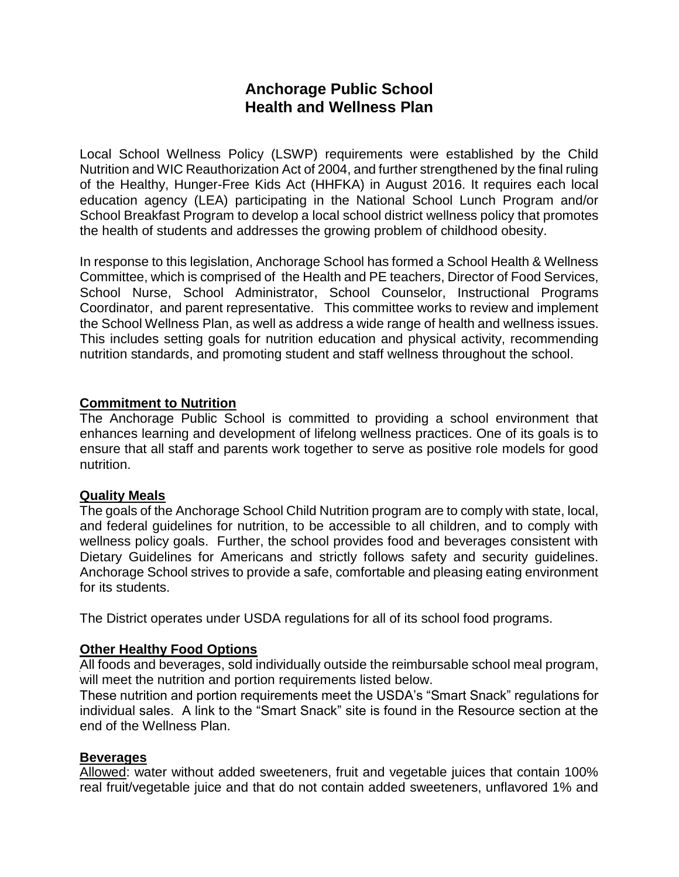# **Anchorage Public School Health and Wellness Plan**

Local School Wellness Policy (LSWP) requirements were established by the Child Nutrition and WIC Reauthorization Act of 2004, and further strengthened by the final ruling of the Healthy, Hunger-Free Kids Act (HHFKA) in August 2016. It requires each local education agency (LEA) participating in the National School Lunch Program and/or School Breakfast Program to develop a local school district wellness policy that promotes the health of students and addresses the growing problem of childhood obesity.

In response to this legislation, Anchorage School has formed a School Health & Wellness Committee, which is comprised of the Health and PE teachers, Director of Food Services, School Nurse, School Administrator, School Counselor, Instructional Programs Coordinator, and parent representative. This committee works to review and implement the School Wellness Plan, as well as address a wide range of health and wellness issues. This includes setting goals for nutrition education and physical activity, recommending nutrition standards, and promoting student and staff wellness throughout the school.

#### **Commitment to Nutrition**

The Anchorage Public School is committed to providing a school environment that enhances learning and development of lifelong wellness practices. One of its goals is to ensure that all staff and parents work together to serve as positive role models for good nutrition.

### **Quality Meals**

The goals of the Anchorage School Child Nutrition program are to comply with state, local, and federal guidelines for nutrition, to be accessible to all children, and to comply with wellness policy goals. Further, the school provides food and beverages consistent with Dietary Guidelines for Americans and strictly follows safety and security guidelines. Anchorage School strives to provide a safe, comfortable and pleasing eating environment for its students.

The District operates under USDA regulations for all of its school food programs.

### **Other Healthy Food Options**

All foods and beverages, sold individually outside the reimbursable school meal program, will meet the nutrition and portion requirements listed below.

These nutrition and portion requirements meet the USDA's "Smart Snack" regulations for individual sales. A link to the "Smart Snack" site is found in the Resource section at the end of the Wellness Plan.

#### **Beverages**

Allowed: water without added sweeteners, fruit and vegetable juices that contain 100% real fruit/vegetable juice and that do not contain added sweeteners, unflavored 1% and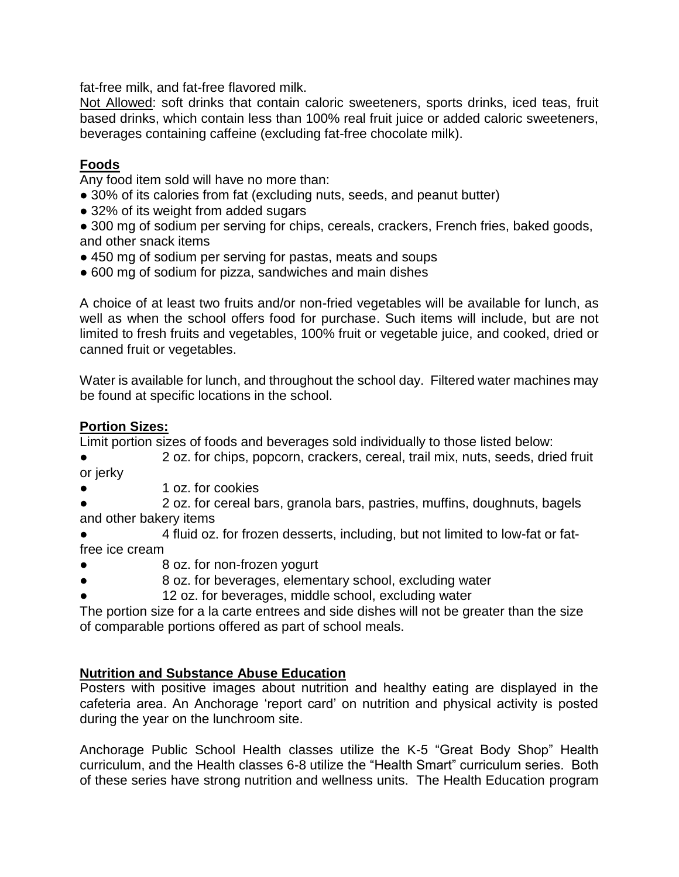fat-free milk, and fat-free flavored milk.

Not Allowed: soft drinks that contain caloric sweeteners, sports drinks, iced teas, fruit based drinks, which contain less than 100% real fruit juice or added caloric sweeteners, beverages containing caffeine (excluding fat-free chocolate milk).

## **Foods**

Any food item sold will have no more than:

- 30% of its calories from fat (excluding nuts, seeds, and peanut butter)
- 32% of its weight from added sugars
- 300 mg of sodium per serving for chips, cereals, crackers, French fries, baked goods, and other snack items
- 450 mg of sodium per serving for pastas, meats and soups
- 600 mg of sodium for pizza, sandwiches and main dishes

A choice of at least two fruits and/or non-fried vegetables will be available for lunch, as well as when the school offers food for purchase. Such items will include, but are not limited to fresh fruits and vegetables, 100% fruit or vegetable juice, and cooked, dried or canned fruit or vegetables.

Water is available for lunch, and throughout the school day. Filtered water machines may be found at specific locations in the school.

## **Portion Sizes:**

Limit portion sizes of foods and beverages sold individually to those listed below:

- 2 oz. for chips, popcorn, crackers, cereal, trail mix, nuts, seeds, dried fruit or jerky
- 1 oz. for cookies
- 2 oz. for cereal bars, granola bars, pastries, muffins, doughnuts, bagels and other bakery items
- 4 fluid oz. for frozen desserts, including, but not limited to low-fat or fatfree ice cream
- 8 oz. for non-frozen yogurt
- 8 oz. for beverages, elementary school, excluding water
- 12 oz. for beverages, middle school, excluding water

The portion size for a la carte entrees and side dishes will not be greater than the size of comparable portions offered as part of school meals.

## **Nutrition and Substance Abuse Education**

Posters with positive images about nutrition and healthy eating are displayed in the cafeteria area. An Anchorage 'report card' on nutrition and physical activity is posted during the year on the lunchroom site.

Anchorage Public School Health classes utilize the K-5 "Great Body Shop" Health curriculum, and the Health classes 6-8 utilize the "Health Smart" curriculum series. Both of these series have strong nutrition and wellness units. The Health Education program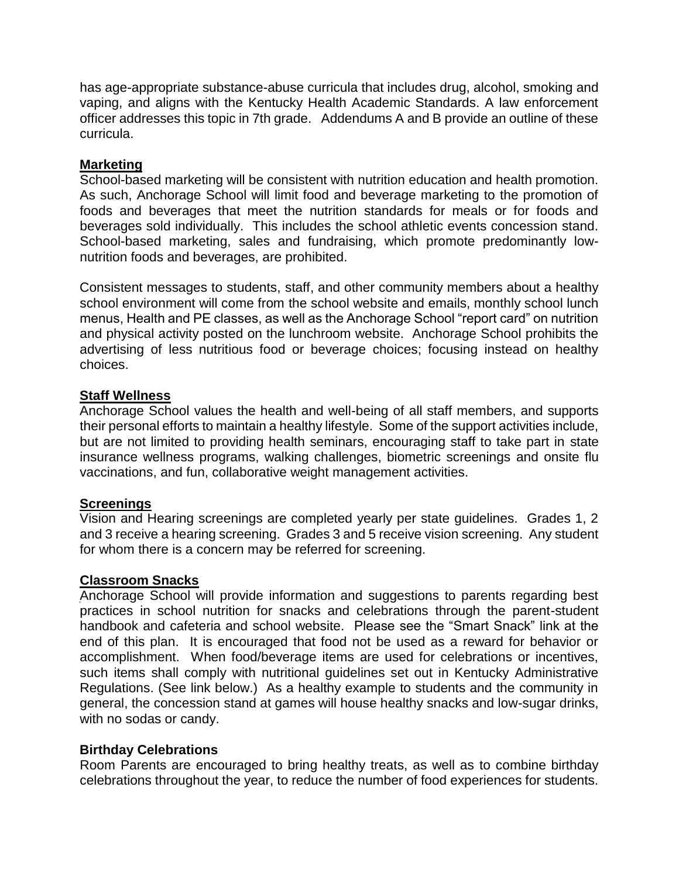has age-appropriate substance-abuse curricula that includes drug, alcohol, smoking and vaping, and aligns with the Kentucky Health Academic Standards. A law enforcement officer addresses this topic in 7th grade. Addendums A and B provide an outline of these curricula.

### **Marketing**

School-based marketing will be consistent with nutrition education and health promotion. As such, Anchorage School will limit food and beverage marketing to the promotion of foods and beverages that meet the nutrition standards for meals or for foods and beverages sold individually. This includes the school athletic events concession stand. School-based marketing, sales and fundraising, which promote predominantly lownutrition foods and beverages, are prohibited.

Consistent messages to students, staff, and other community members about a healthy school environment will come from the school website and emails, monthly school lunch menus, Health and PE classes, as well as the Anchorage School "report card" on nutrition and physical activity posted on the lunchroom website. Anchorage School prohibits the advertising of less nutritious food or beverage choices; focusing instead on healthy choices.

### **Staff Wellness**

Anchorage School values the health and well-being of all staff members, and supports their personal efforts to maintain a healthy lifestyle. Some of the support activities include, but are not limited to providing health seminars, encouraging staff to take part in state insurance wellness programs, walking challenges, biometric screenings and onsite flu vaccinations, and fun, collaborative weight management activities.

### **Screenings**

Vision and Hearing screenings are completed yearly per state guidelines. Grades 1, 2 and 3 receive a hearing screening. Grades 3 and 5 receive vision screening. Any student for whom there is a concern may be referred for screening.

### **Classroom Snacks**

Anchorage School will provide information and suggestions to parents regarding best practices in school nutrition for snacks and celebrations through the parent-student handbook and cafeteria and school website. Please see the "Smart Snack" link at the end of this plan. It is encouraged that food not be used as a reward for behavior or accomplishment. When food/beverage items are used for celebrations or incentives, such items shall comply with nutritional guidelines set out in Kentucky Administrative Regulations. (See link below.) As a healthy example to students and the community in general, the concession stand at games will house healthy snacks and low-sugar drinks, with no sodas or candy.

### **Birthday Celebrations**

Room Parents are encouraged to bring healthy treats, as well as to combine birthday celebrations throughout the year, to reduce the number of food experiences for students.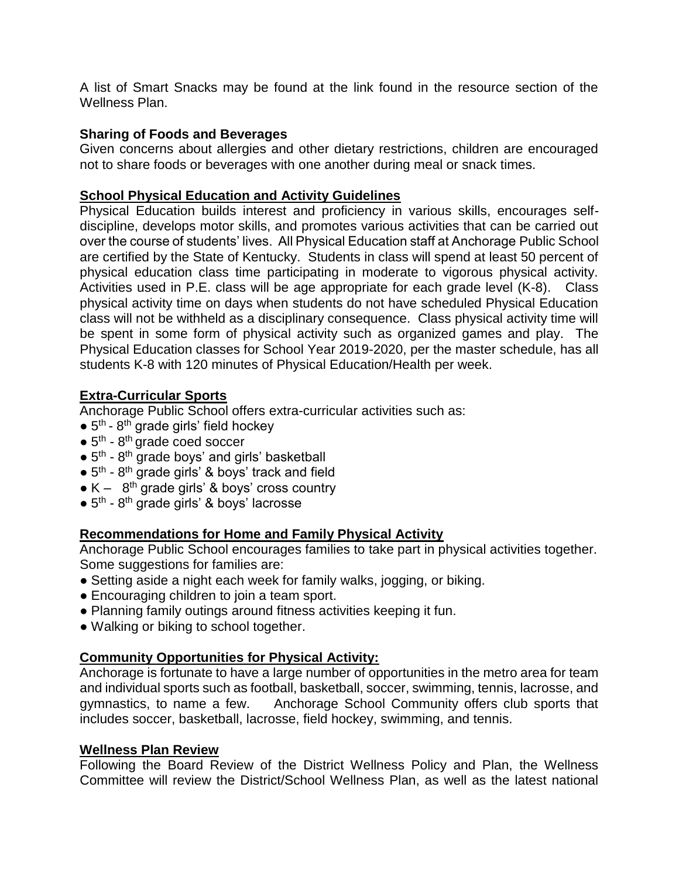A list of Smart Snacks may be found at the link found in the resource section of the Wellness Plan.

### **Sharing of Foods and Beverages**

Given concerns about allergies and other dietary restrictions, children are encouraged not to share foods or beverages with one another during meal or snack times.

### **School Physical Education and Activity Guidelines**

Physical Education builds interest and proficiency in various skills, encourages selfdiscipline, develops motor skills, and promotes various activities that can be carried out over the course of students' lives. All Physical Education staff at Anchorage Public School are certified by the State of Kentucky. Students in class will spend at least 50 percent of physical education class time participating in moderate to vigorous physical activity. Activities used in P.E. class will be age appropriate for each grade level (K-8). Class physical activity time on days when students do not have scheduled Physical Education class will not be withheld as a disciplinary consequence. Class physical activity time will be spent in some form of physical activity such as organized games and play. The Physical Education classes for School Year 2019-2020, per the master schedule, has all students K-8 with 120 minutes of Physical Education/Health per week.

### **Extra-Curricular Sports**

Anchorage Public School offers extra-curricular activities such as:

- $\bullet$  5<sup>th</sup> 8<sup>th</sup> grade girls' field hockey
- $\bullet$  5<sup>th</sup> 8<sup>th</sup> grade coed soccer
- $\bullet$  5<sup>th</sup> 8<sup>th</sup> grade boys' and girls' basketball
- $\bullet$  5<sup>th</sup> 8<sup>th</sup> grade girls' & boys' track and field
- $\bullet$  K 8<sup>th</sup> grade girls' & boys' cross country
- 5<sup>th</sup> 8<sup>th</sup> grade girls' & boys' lacrosse

### **Recommendations for Home and Family Physical Activity**

Anchorage Public School encourages families to take part in physical activities together. Some suggestions for families are:

- Setting aside a night each week for family walks, jogging, or biking.
- Encouraging children to join a team sport.
- Planning family outings around fitness activities keeping it fun.
- Walking or biking to school together.

### **Community Opportunities for Physical Activity:**

Anchorage is fortunate to have a large number of opportunities in the metro area for team and individual sports such as football, basketball, soccer, swimming, tennis, lacrosse, and gymnastics, to name a few. Anchorage School Community offers club sports that includes soccer, basketball, lacrosse, field hockey, swimming, and tennis.

### **Wellness Plan Review**

Following the Board Review of the District Wellness Policy and Plan, the Wellness Committee will review the District/School Wellness Plan, as well as the latest national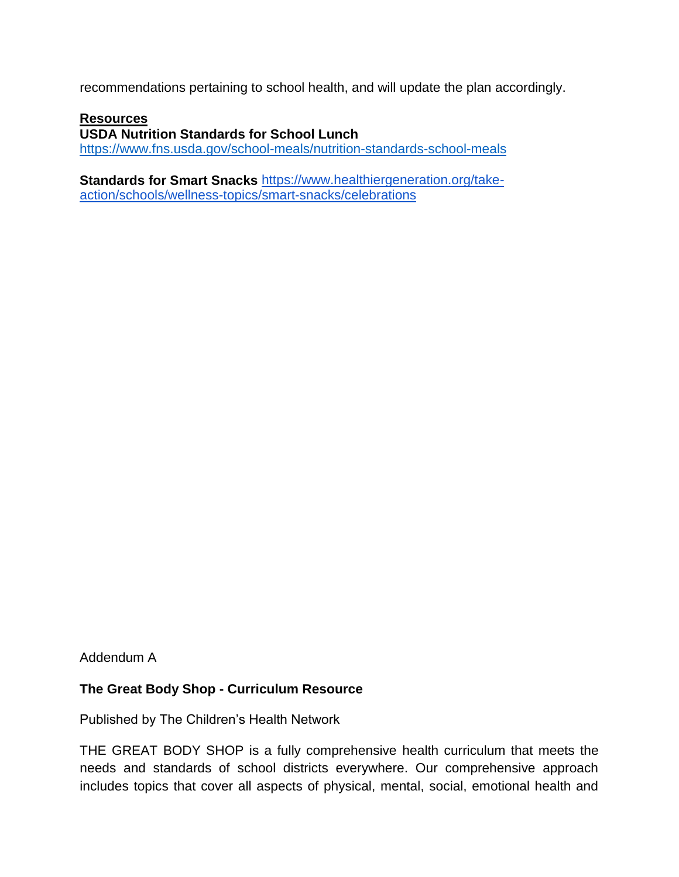recommendations pertaining to school health, and will update the plan accordingly.

#### **Resources**

**USDA Nutrition Standards for School Lunch**

<https://www.fns.usda.gov/school-meals/nutrition-standards-school-meals>

**Standards for Smart Snacks** [https://www.healthiergeneration.org/take](https://www.healthiergeneration.org/take-action/schools/wellness-topics/smart-snacks/celebrations)[action/schools/wellness-topics/smart-snacks/celebrations](https://www.healthiergeneration.org/take-action/schools/wellness-topics/smart-snacks/celebrations)

Addendum A

### **The Great Body Shop - Curriculum Resource**

Published by The Children's Health Network

THE GREAT BODY SHOP is a fully comprehensive health curriculum that meets the needs and standards of school districts everywhere. Our comprehensive approach includes topics that cover all aspects of physical, mental, social, emotional health and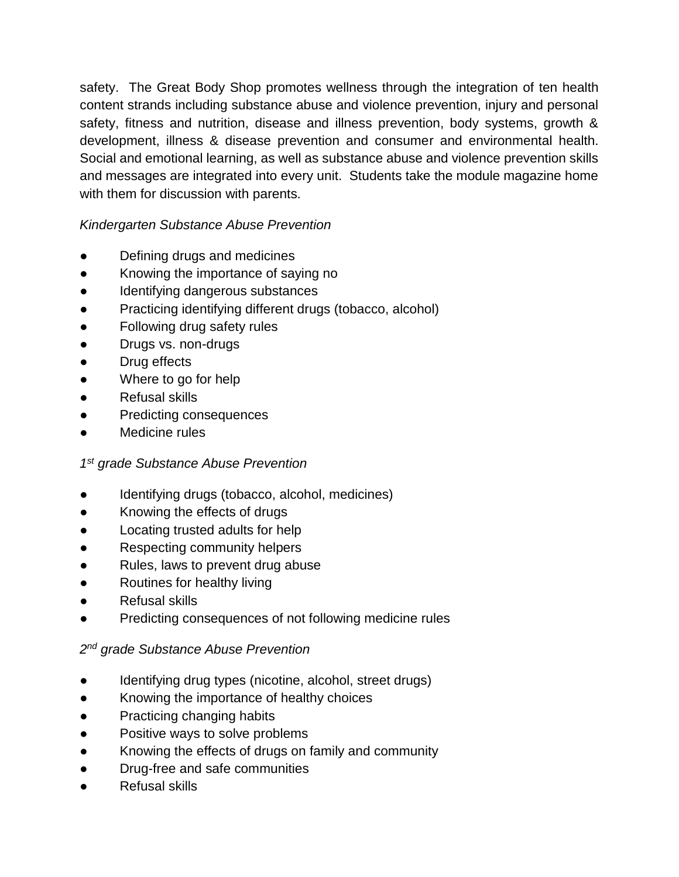safety. The Great Body Shop promotes wellness through the integration of ten health content strands including substance abuse and violence prevention, injury and personal safety, fitness and nutrition, disease and illness prevention, body systems, growth & development, illness & disease prevention and consumer and environmental health. Social and emotional learning, as well as substance abuse and violence prevention skills and messages are integrated into every unit. Students take the module magazine home with them for discussion with parents.

## *Kindergarten Substance Abuse Prevention*

- Defining drugs and medicines
- Knowing the importance of saying no
- Identifying dangerous substances
- Practicing identifying different drugs (tobacco, alcohol)
- Following drug safety rules
- Drugs vs. non-drugs
- Drug effects
- Where to go for help
- Refusal skills
- Predicting consequences
- Medicine rules

### *1 st grade Substance Abuse Prevention*

- Identifying drugs (tobacco, alcohol, medicines)
- Knowing the effects of drugs
- Locating trusted adults for help
- Respecting community helpers
- Rules, laws to prevent drug abuse
- Routines for healthy living
- Refusal skills
- Predicting consequences of not following medicine rules

### *2 nd grade Substance Abuse Prevention*

- Identifying drug types (nicotine, alcohol, street drugs)
- Knowing the importance of healthy choices
- Practicing changing habits
- Positive ways to solve problems
- Knowing the effects of drugs on family and community
- Drug-free and safe communities
- Refusal skills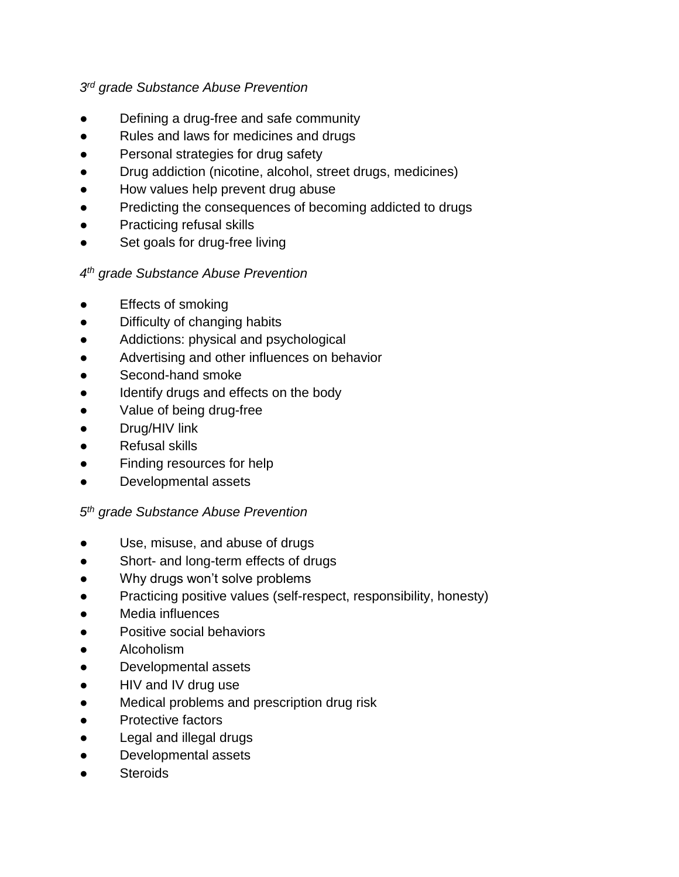## *3 rd grade Substance Abuse Prevention*

- Defining a drug-free and safe community
- Rules and laws for medicines and drugs
- Personal strategies for drug safety
- Drug addiction (nicotine, alcohol, street drugs, medicines)
- How values help prevent drug abuse
- Predicting the consequences of becoming addicted to drugs
- Practicing refusal skills
- Set goals for drug-free living

## *4 th grade Substance Abuse Prevention*

- **Effects of smoking**
- Difficulty of changing habits
- Addictions: physical and psychological
- Advertising and other influences on behavior
- Second-hand smoke
- Identify drugs and effects on the body
- Value of being drug-free
- Drug/HIV link
- Refusal skills
- Finding resources for help
- Developmental assets

## *5 th grade Substance Abuse Prevention*

- Use, misuse, and abuse of drugs
- Short- and long-term effects of drugs
- Why drugs won't solve problems
- Practicing positive values (self-respect, responsibility, honesty)
- Media influences
- Positive social behaviors
- Alcoholism
- Developmental assets
- HIV and IV drug use
- Medical problems and prescription drug risk
- Protective factors
- Legal and illegal drugs
- Developmental assets
- **Steroids**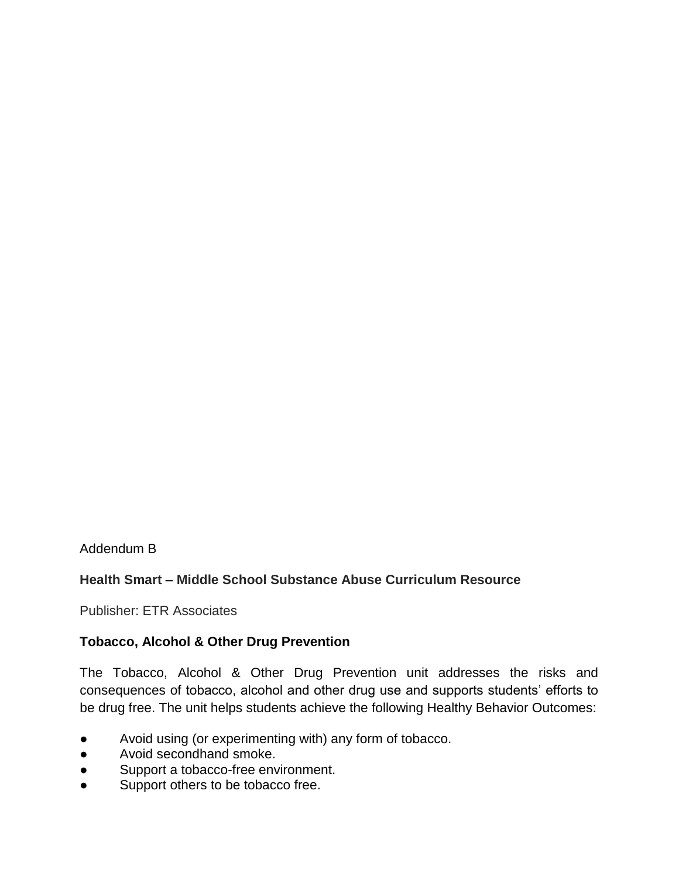Addendum B

### **Health Smart – Middle School Substance Abuse Curriculum Resource**

Publisher: ETR Associates

### **Tobacco, Alcohol & Other Drug Prevention**

The Tobacco, Alcohol & Other Drug Prevention unit addresses the risks and consequences of tobacco, alcohol and other drug use and supports students' efforts to be drug free. The unit helps students achieve the following Healthy Behavior Outcomes:

- Avoid using (or experimenting with) any form of tobacco.
- Avoid secondhand smoke.
- Support a tobacco-free environment.
- Support others to be tobacco free.